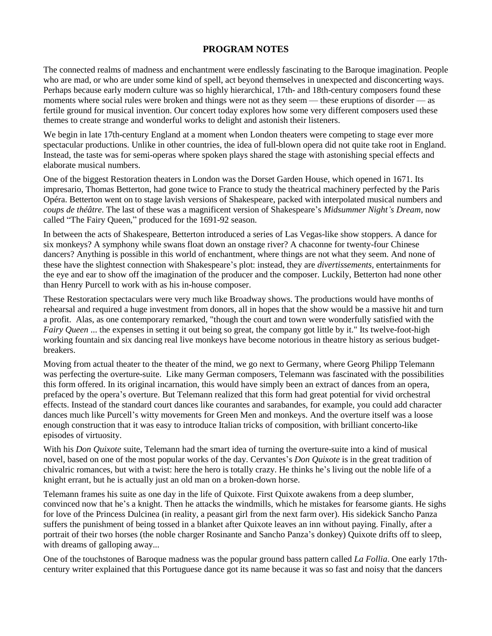## **PROGRAM NOTES**

The connected realms of madness and enchantment were endlessly fascinating to the Baroque imagination. People who are mad, or who are under some kind of spell, act beyond themselves in unexpected and disconcerting ways. Perhaps because early modern culture was so highly hierarchical, 17th- and 18th-century composers found these moments where social rules were broken and things were not as they seem — these eruptions of disorder — as fertile ground for musical invention. Our concert today explores how some very different composers used these themes to create strange and wonderful works to delight and astonish their listeners.

We begin in late 17th-century England at a moment when London theaters were competing to stage ever more spectacular productions. Unlike in other countries, the idea of full-blown opera did not quite take root in England. Instead, the taste was for semi-operas where spoken plays shared the stage with astonishing special effects and elaborate musical numbers.

One of the biggest Restoration theaters in London was the Dorset Garden House, which opened in 1671. Its impresario, Thomas Betterton, had gone twice to France to study the theatrical machinery perfected by the Paris Opéra. Betterton went on to stage lavish versions of Shakespeare, packed with interpolated musical numbers and *coups de théâtre.* The last of these was a magnificent version of Shakespeare's *Midsummer Night's Dream,* now called "The Fairy Queen," produced for the 1691-92 season.

In between the acts of Shakespeare, Betterton introduced a series of Las Vegas-like show stoppers. A dance for six monkeys? A symphony while swans float down an onstage river? A chaconne for twenty-four Chinese dancers? Anything is possible in this world of enchantment, where things are not what they seem. And none of these have the slightest connection with Shakespeare's plot: instead, they are *divertissements,* entertainments for the eye and ear to show off the imagination of the producer and the composer. Luckily, Betterton had none other than Henry Purcell to work with as his in-house composer.

These Restoration spectaculars were very much like Broadway shows. The productions would have months of rehearsal and required a huge investment from donors, all in hopes that the show would be a massive hit and turn a profit. Alas, as one contemporary remarked, "though the court and town were wonderfully satisfied with the *Fairy Queen* ... the expenses in setting it out being so great, the company got little by it." Its twelve-foot-high working fountain and six dancing real live monkeys have become notorious in theatre history as serious budgetbreakers.

Moving from actual theater to the theater of the mind, we go next to Germany, where Georg Philipp Telemann was perfecting the overture-suite. Like many German composers, Telemann was fascinated with the possibilities this form offered. In its original incarnation, this would have simply been an extract of dances from an opera, prefaced by the opera's overture. But Telemann realized that this form had great potential for vivid orchestral effects. Instead of the standard court dances like courantes and sarabandes, for example, you could add character dances much like Purcell's witty movements for Green Men and monkeys. And the overture itself was a loose enough construction that it was easy to introduce Italian tricks of composition, with brilliant concerto-like episodes of virtuosity.

With his *Don Quixote* suite, Telemann had the smart idea of turning the overture-suite into a kind of musical novel, based on one of the most popular works of the day. Cervantes's *Don Quixote* is in the great tradition of chivalric romances, but with a twist: here the hero is totally crazy. He thinks he's living out the noble life of a knight errant, but he is actually just an old man on a broken-down horse.

Telemann frames his suite as one day in the life of Quixote. First Quixote awakens from a deep slumber, convinced now that he's a knight. Then he attacks the windmills, which he mistakes for fearsome giants. He sighs for love of the Princess Dulcinea (in reality, a peasant girl from the next farm over). His sidekick Sancho Panza suffers the punishment of being tossed in a blanket after Quixote leaves an inn without paying. Finally, after a portrait of their two horses (the noble charger Rosinante and Sancho Panza's donkey) Quixote drifts off to sleep, with dreams of galloping away...

One of the touchstones of Baroque madness was the popular ground bass pattern called *La Follia*. One early 17thcentury writer explained that this Portuguese dance got its name because it was so fast and noisy that the dancers